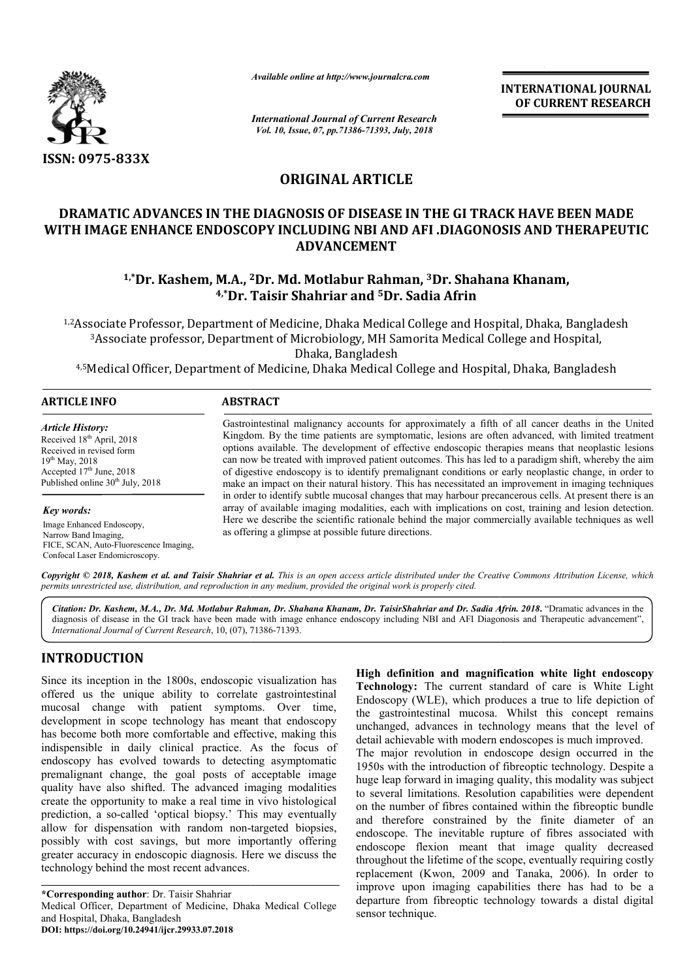

*Available online at http://www.journalcra.com*

*International Journal of Current Research Vol. 10, Issue, 07, pp.71386-71393, July, 2018*

**INTERNATIONAL JOURNAL OF CURRENT RESEARCH**

# **ORIGINAL ARTICLE**

# **DRAMATIC ADVANCES IN THE DIAGNOSIS OF DISEASE IN THE GI TRACK HAVE BEEN MADE WITH IMAGE ENHANCE ENDOSCOPY INCLUDING NBI AND AFI .DIAGONOSIS AND THERAPEUTIC 1,\*Dr. Kashem, M.A., <sup>2</sup>Dr. Md. Motlabur Rahman, 3Dr. Kashem, M.A., <sup>2</sup>Dr. Md. Motlabur Rahman, <sup>3</sup>Dr. Shahana Khanam, <sup>1,\*</sup>Dr. Kashem, M.A., <sup>2</sup>Dr. Md. Motlabur Rahman, <sup>3</sup>Dr. Shahana Khanam, ADVANCEMENT**

# **4,\*Dr. Taisir Shahriar and 5Dr. Sadia Afrin**

<sup>1,2</sup>Associate Professor, Department of Medicine, Dhaka Medical College and Hospital, Dhaka, Bangladesh <sup>3</sup>Associate professor, Department of Microbiology, MH Samorita Medical College and Hospital, Dhaka, Bangladesh

4,5 Medical Officer, Department of Medicine, Dhaka Medical College and Hospital, Dhaka, Bangladesh

| ARTICLE INFO                                                                                                                                                                     | <b>ABSTRACT</b>                                                                                                                                                                                                                                                                                                                                                                                                                                                                                                                                                                                                                      |  |  |
|----------------------------------------------------------------------------------------------------------------------------------------------------------------------------------|--------------------------------------------------------------------------------------------------------------------------------------------------------------------------------------------------------------------------------------------------------------------------------------------------------------------------------------------------------------------------------------------------------------------------------------------------------------------------------------------------------------------------------------------------------------------------------------------------------------------------------------|--|--|
| Article History:<br>Received 18 <sup>th</sup> April, 2018<br>Received in revised form<br>$19^{th}$ May, 2018<br>Accepted $17th$ June, 2018<br>Published online $30th$ July, 2018 | Gastrointestinal malignancy accounts for approximately a fifth of all cancer deaths in the United<br>Kingdom. By the time patients are symptomatic, lesions are often advanced, with limited treatment<br>options available. The development of effective endoscopic therapies means that neoplastic lesions<br>can now be treated with improved patient outcomes. This has led to a paradigm shift, whereby the aim<br>of digestive endoscopy is to identify premalignant conditions or early neoplastic change, in order to<br>make an impact on their natural history. This has necessitated an improvement in imaging techniques |  |  |
| Key words:                                                                                                                                                                       | in order to identify subtle mucosal changes that may harbour precancerous cells. At present there is an<br>array of available imaging modalities, each with implications on cost, training and lesion detection.<br>Here we describe the scientific rationale behind the major commercially available techniques as well<br>as offering a glimpse at possible future directions.                                                                                                                                                                                                                                                     |  |  |
| Image Enhanced Endoscopy,<br>Narrow Band Imaging,<br>FICE, SCAN, Auto-Fluorescence Imaging,<br>Confocal Laser Endomicroscopy.                                                    |                                                                                                                                                                                                                                                                                                                                                                                                                                                                                                                                                                                                                                      |  |  |

Copyright © 2018, Kashem et al. and Taisir Shahriar et al. This is an open access article distributed under the Creative Commons Attribution License, which permits unrestricted use, distribution, and reproduction in any medium, provided the original work is properly cited.

Citation: Dr. Kashem, M.A., Dr. Md. Motlabur Rahman, Dr. Shahana Khanam, Dr. TaisirShahriar and Dr. Sadia Afrin. 2018. "Dramatic advances in the diagnosis of disease in the GI track have been made with image enhance endoscopy including NBI and AFI Diagonosis and Therapeutic advancement", *International Journal of Current Research*, 10, (07), 71386 71386-71393.

# **INTRODUCTION**

Since its inception in the 1800s, endoscopic visualization has offered us the unique ability to correlate gastrointestinal mucosal change with patient symptoms. Over time, development in scope technology has meant that endoscopy has become both more comfortable and effective, making this indispensible in daily clinical practice. As the focus of endoscopy has evolved towards to detecting asymptomatic premalignant change, the goal posts of acceptable image quality have also shifted. The advanced imaging modalities create the opportunity to make a real time in vivo histological prediction, a so-called 'optical biopsy.' This may eventually allow for dispensation with random non-targeted biopsies, possibly with cost savings, but more importantly offering greater accuracy in endoscopic diagnosis. Here we discuss the technology behind the most recent advances. volved towards to detecting asymptomatic<br>unge, the goal posts of acceptable image<br>shifted. The advanced imaging modalities<br>unity to make a real time in vivo histological<br>alled 'optical biopsy.' This may eventually<br>sation w

**\*Corresponding author**: Dr. Taisir Shahriar Medical Officer, Department of Medicine, Dhaka Medical College and Hospital, Dhaka, Bangladesh **DOI: https://doi.org/10.24941/ijcr.29933.07.2018**

**High definition and magnification white light endoscopy and magnification Technology:** The current standard of care is White Light Endoscopy (WLE), which produces a true to life depiction of the gastrointestinal mucosa. Whilst this concept remains unchanged, advances in technology means that the level of detail achievable with modern endoscopes is much improved. The major revolution in endoscope design occurred in the 1950s with the introduction of fibreoptic technology. Despite a huge leap forward in imaging quality, this modality was subject to several limitations. Resolution capabilities were dependent on the number of fibres contained within the fibreoptic bundle and therefore constrained by the finite diameter of an endoscope. The inevitable rupture of fibres associated with endoscope flexion meant that image quality decreased throughout the lifetime of the scope, eventually requiring costly replacement (Kwon, 2009 and Tanaka, 2006). In order to improve upon imaging capabilities there has had to be a departure from fibreoptic technology towards a distal digital sensor technique. which produces a true to life depiction<br>mucosa. Whilst this concept rema<br>is in technology means that the level<br>th modern endoscopes is much improved **FIFERNATIONAL JOURNAL COFFERNATIONAL COFFERENT RESEARCH**<br> **OF CURRENT RESEARCH**<br> **OF CURRENT RESEARCH**<br> **P18**<br> **COFFERENT SCONOSIS AND THERAPEUTIC**<br> **COFFERENT SCONOSIS AND THERAPEUTIC**<br> **COFFERENT AND AND THERAPEUTIC**<br>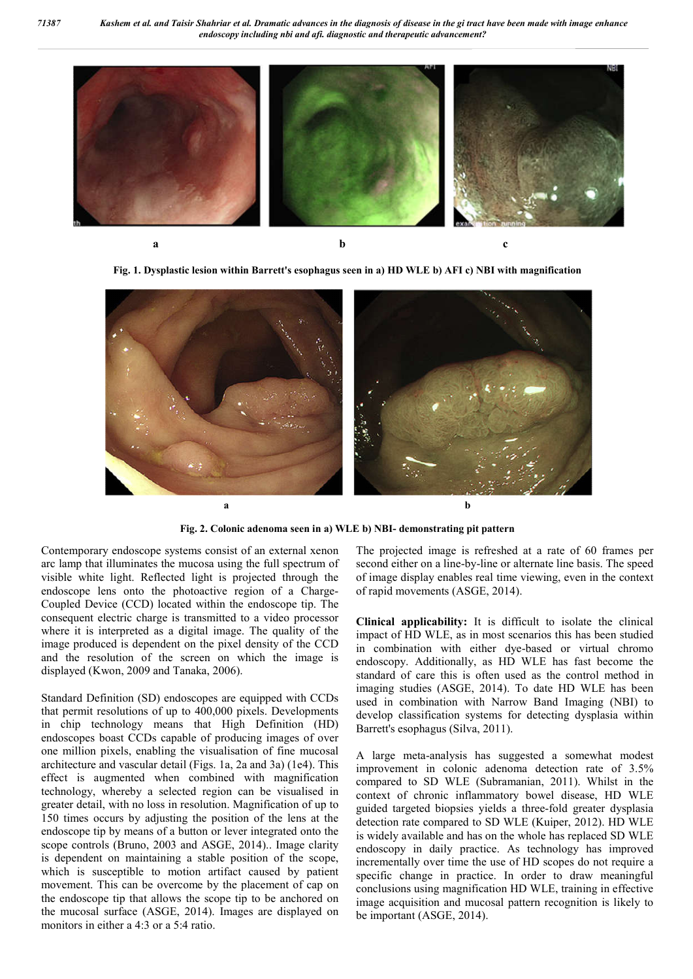*71387 Kashem et al. and Taisir Shahriar et al. Dramatic advances in the diagnosis of disease in the gi tract have been made with image enhance endoscopy including nbi and afi. diagnostic and therapeutic advancement?*



**Fig. 1. Dysplastic lesion within Barrett's esophagus seen in a) HD WLE b) AFI c) NBI with magnification**



**Fig. 2. Colonic adenoma seen in a) WLE b) NBI- demonstrating pit pattern**

Contemporary endoscope systems consist of an external xenon arc lamp that illuminates the mucosa using the full spectrum of visible white light. Reflected light is projected through the endoscope lens onto the photoactive region of a Charge-Coupled Device (CCD) located within the endoscope tip. The consequent electric charge is transmitted to a video processor where it is interpreted as a digital image. The quality of the image produced is dependent on the pixel density of the CCD and the resolution of the screen on which the image is displayed (Kwon, 2009 and Tanaka, 2006).

Standard Definition (SD) endoscopes are equipped with CCDs that permit resolutions of up to 400,000 pixels. Developments in chip technology means that High Definition (HD) endoscopes boast CCDs capable of producing images of over one million pixels, enabling the visualisation of fine mucosal architecture and vascular detail (Figs. 1a, 2a and 3a) (1e4). This effect is augmented when combined with magnification technology, whereby a selected region can be visualised in greater detail, with no loss in resolution. Magnification of up to 150 times occurs by adjusting the position of the lens at the endoscope tip by means of a button or lever integrated onto the scope controls (Bruno, 2003 and ASGE, 2014).. Image clarity is dependent on maintaining a stable position of the scope, which is susceptible to motion artifact caused by patient movement. This can be overcome by the placement of cap on the endoscope tip that allows the scope tip to be anchored on the mucosal surface (ASGE, 2014). Images are displayed on monitors in either a 4:3 or a 5:4 ratio.

The projected image is refreshed at a rate of 60 frames per second either on a line-by-line or alternate line basis. The speed of image display enables real time viewing, even in the context of rapid movements (ASGE, 2014).

**Clinical applicability:** It is difficult to isolate the clinical impact of HD WLE, as in most scenarios this has been studied in combination with either dye-based or virtual chromo endoscopy. Additionally, as HD WLE has fast become the standard of care this is often used as the control method in imaging studies (ASGE, 2014). To date HD WLE has been used in combination with Narrow Band Imaging (NBI) to develop classification systems for detecting dysplasia within Barrett's esophagus (Silva, 2011).

A large meta-analysis has suggested a somewhat modest improvement in colonic adenoma detection rate of 3.5% compared to SD WLE (Subramanian, 2011). Whilst in the context of chronic inflammatory bowel disease, HD WLE guided targeted biopsies yields a three-fold greater dysplasia detection rate compared to SD WLE (Kuiper, 2012). HD WLE is widely available and has on the whole has replaced SD WLE endoscopy in daily practice. As technology has improved incrementally over time the use of HD scopes do not require a specific change in practice. In order to draw meaningful conclusions using magnification HD WLE, training in effective image acquisition and mucosal pattern recognition is likely to be important (ASGE, 2014).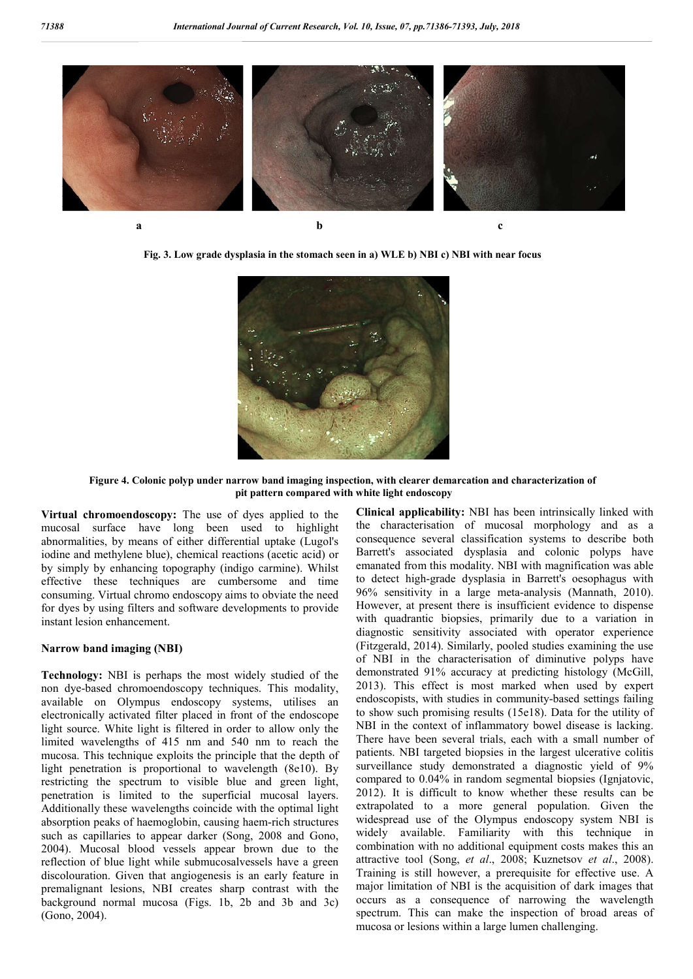

**Fig. 3. Low grade dysplasia in the stomach seen in a) WLE b) NBI c) NBI with near focus**



**Figure 4. Colonic polyp under narrow band imaging inspection, with clearer demarcation and characterization of pit pattern compared with white light endoscopy**

**Virtual chromoendoscopy:** The use of dyes applied to the mucosal surface have long been used to highlight abnormalities, by means of either differential uptake (Lugol's iodine and methylene blue), chemical reactions (acetic acid) or by simply by enhancing topography (indigo carmine). Whilst effective these techniques are cumbersome and time consuming. Virtual chromo endoscopy aims to obviate the need for dyes by using filters and software developments to provide instant lesion enhancement.

# **Narrow band imaging (NBI)**

**Technology:** NBI is perhaps the most widely studied of the non dye-based chromoendoscopy techniques. This modality, available on Olympus endoscopy systems, utilises an electronically activated filter placed in front of the endoscope light source. White light is filtered in order to allow only the limited wavelengths of 415 nm and 540 nm to reach the mucosa. This technique exploits the principle that the depth of light penetration is proportional to wavelength (8e10). By restricting the spectrum to visible blue and green light, penetration is limited to the superficial mucosal layers. Additionally these wavelengths coincide with the optimal light absorption peaks of haemoglobin, causing haem-rich structures such as capillaries to appear darker (Song, 2008 and Gono, 2004). Mucosal blood vessels appear brown due to the reflection of blue light while submucosalvessels have a green discolouration. Given that angiogenesis is an early feature in premalignant lesions, NBI creates sharp contrast with the background normal mucosa (Figs. 1b, 2b and 3b and 3c) (Gono, 2004).

**Clinical applicability:** NBI has been intrinsically linked with the characterisation of mucosal morphology and as a consequence several classification systems to describe both Barrett's associated dysplasia and colonic polyps have emanated from this modality. NBI with magnification was able to detect high-grade dysplasia in Barrett's oesophagus with 96% sensitivity in a large meta-analysis (Mannath, 2010). However, at present there is insufficient evidence to dispense with quadrantic biopsies, primarily due to a variation in diagnostic sensitivity associated with operator experience (Fitzgerald, 2014). Similarly, pooled studies examining the use of NBI in the characterisation of diminutive polyps have demonstrated 91% accuracy at predicting histology (McGill, 2013). This effect is most marked when used by expert endoscopists, with studies in community-based settings failing to show such promising results (15e18). Data for the utility of NBI in the context of inflammatory bowel disease is lacking. There have been several trials, each with a small number of patients. NBI targeted biopsies in the largest ulcerative colitis surveillance study demonstrated a diagnostic yield of 9% compared to 0.04% in random segmental biopsies (Ignjatovic, 2012). It is difficult to know whether these results can be extrapolated to a more general population. Given the widespread use of the Olympus endoscopy system NBI is widely available. Familiarity with this technique in combination with no additional equipment costs makes this an attractive tool (Song, *et al*., 2008; Kuznetsov *et al*., 2008). Training is still however, a prerequisite for effective use. A major limitation of NBI is the acquisition of dark images that occurs as a consequence of narrowing the wavelength spectrum. This can make the inspection of broad areas of mucosa or lesions within a large lumen challenging.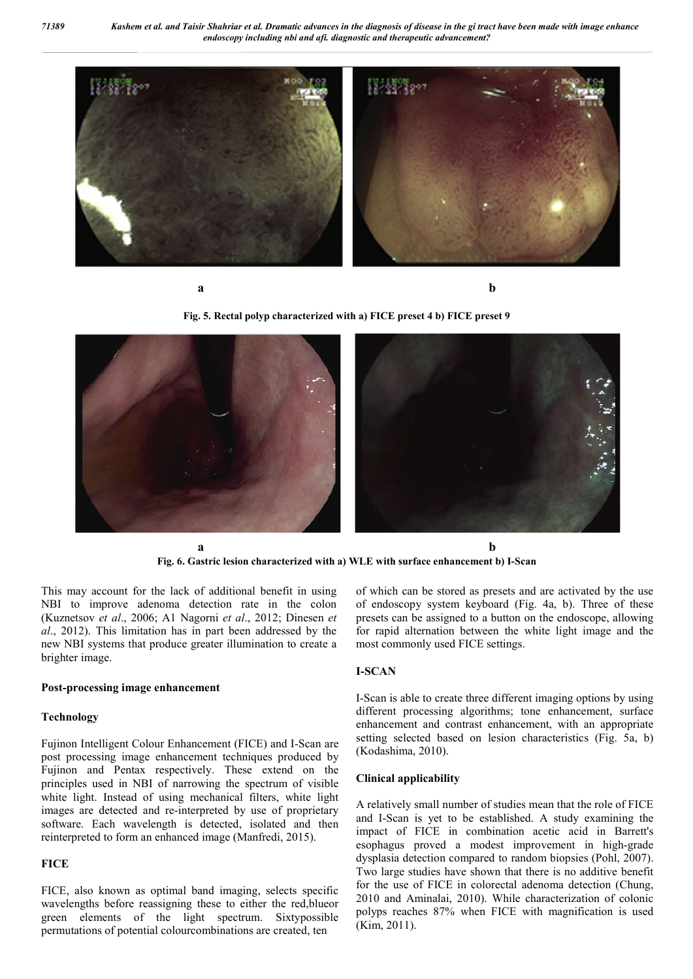*71389 Kashem et al. and Taisir Shahriar et al. Dramatic advances in the diagnosis of disease in the gi tract have been made with image enhance endoscopy including nbi and afi. diagnostic and therapeutic advancement?*



**a b**

**Fig. 5. Rectal polyp characterized with a) FICE preset 4 b) FICE preset 9**



**Fig. 6. Gastric lesion characterized with a) WLE with surface enhancement b) I-Scan**

This may account for the lack of additional benefit in using NBI to improve adenoma detection rate in the colon (Kuznetsov *et al*., 2006; A1 Nagorni *et al*., 2012; Dinesen *et al*., 2012). This limitation has in part been addressed by the new NBI systems that produce greater illumination to create a brighter image.

#### **Post-processing image enhancement**

## **Technology**

Fujinon Intelligent Colour Enhancement (FICE) and I-Scan are post processing image enhancement techniques produced by Fujinon and Pentax respectively. These extend on the principles used in NBI of narrowing the spectrum of visible white light. Instead of using mechanical filters, white light images are detected and re-interpreted by use of proprietary software. Each wavelength is detected, isolated and then reinterpreted to form an enhanced image (Manfredi, 2015).

#### **FICE**

FICE, also known as optimal band imaging, selects specific wavelengths before reassigning these to either the red,blueor green elements of the light spectrum. Sixtypossible permutations of potential colourcombinations are created, ten

of which can be stored as presets and are activated by the use of endoscopy system keyboard (Fig. 4a, b). Three of these presets can be assigned to a button on the endoscope, allowing for rapid alternation between the white light image and the most commonly used FICE settings.

# **I-SCAN**

I-Scan is able to create three different imaging options by using different processing algorithms; tone enhancement, surface enhancement and contrast enhancement, with an appropriate setting selected based on lesion characteristics (Fig. 5a, b) (Kodashima, 2010).

# **Clinical applicability**

A relatively small number of studies mean that the role of FICE and I-Scan is yet to be established. A study examining the impact of FICE in combination acetic acid in Barrett's esophagus proved a modest improvement in high-grade dysplasia detection compared to random biopsies (Pohl, 2007). Two large studies have shown that there is no additive benefit for the use of FICE in colorectal adenoma detection (Chung, 2010 and Aminalai, 2010). While characterization of colonic polyps reaches 87% when FICE with magnification is used (Kim, 2011).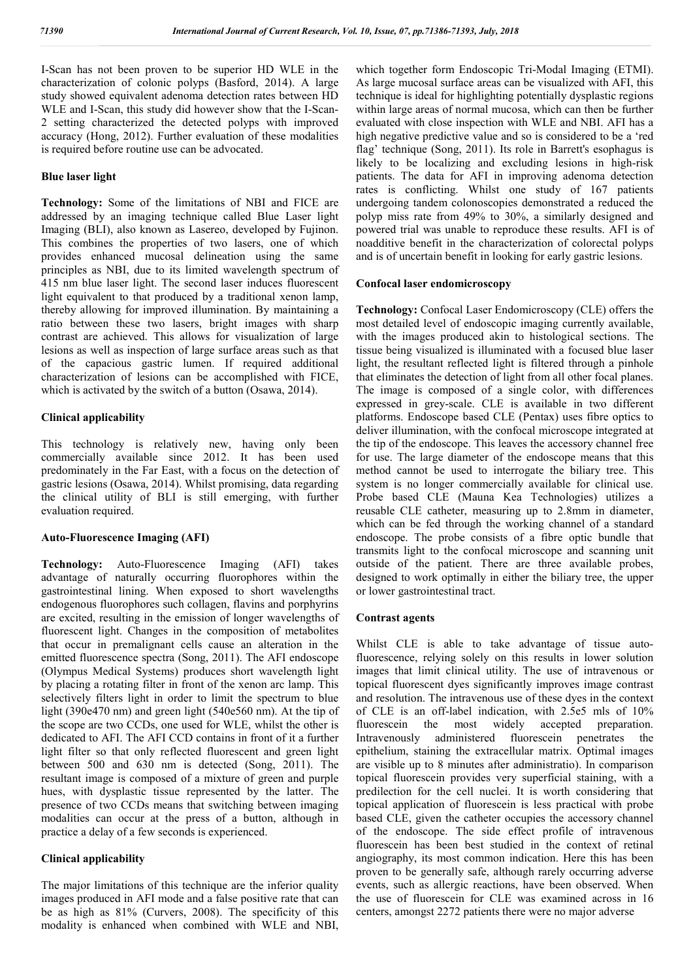I-Scan has not been proven to be superior HD WLE in the characterization of colonic polyps (Basford, 2014). A large study showed equivalent adenoma detection rates between HD WLE and I-Scan, this study did however show that the I-Scan-2 setting characterized the detected polyps with improved accuracy (Hong, 2012). Further evaluation of these modalities is required before routine use can be advocated.

# **Blue laser light**

**Technology:** Some of the limitations of NBI and FICE are addressed by an imaging technique called Blue Laser light Imaging (BLI), also known as Lasereo, developed by Fujinon. This combines the properties of two lasers, one of which provides enhanced mucosal delineation using the same principles as NBI, due to its limited wavelength spectrum of 415 nm blue laser light. The second laser induces fluorescent light equivalent to that produced by a traditional xenon lamp, thereby allowing for improved illumination. By maintaining a ratio between these two lasers, bright images with sharp contrast are achieved. This allows for visualization of large lesions as well as inspection of large surface areas such as that of the capacious gastric lumen. If required additional characterization of lesions can be accomplished with FICE, which is activated by the switch of a button (Osawa, 2014).

# **Clinical applicability**

This technology is relatively new, having only been commercially available since 2012. It has been used predominately in the Far East, with a focus on the detection of gastric lesions (Osawa, 2014). Whilst promising, data regarding the clinical utility of BLI is still emerging, with further evaluation required.

# **Auto-Fluorescence Imaging (AFI)**

**Technology:** Auto-Fluorescence Imaging (AFI) takes advantage of naturally occurring fluorophores within the gastrointestinal lining. When exposed to short wavelengths endogenous fluorophores such collagen, flavins and porphyrins are excited, resulting in the emission of longer wavelengths of fluorescent light. Changes in the composition of metabolites that occur in premalignant cells cause an alteration in the emitted fluorescence spectra (Song, 2011). The AFI endoscope (Olympus Medical Systems) produces short wavelength light by placing a rotating filter in front of the xenon arc lamp. This selectively filters light in order to limit the spectrum to blue light (390e470 nm) and green light (540e560 nm). At the tip of the scope are two CCDs, one used for WLE, whilst the other is dedicated to AFI. The AFI CCD contains in front of it a further light filter so that only reflected fluorescent and green light between 500 and 630 nm is detected (Song, 2011). The resultant image is composed of a mixture of green and purple hues, with dysplastic tissue represented by the latter. The presence of two CCDs means that switching between imaging modalities can occur at the press of a button, although in practice a delay of a few seconds is experienced.

# **Clinical applicability**

The major limitations of this technique are the inferior quality images produced in AFI mode and a false positive rate that can be as high as 81% (Curvers, 2008). The specificity of this modality is enhanced when combined with WLE and NBI,

which together form Endoscopic Tri-Modal Imaging (ETMI). As large mucosal surface areas can be visualized with AFI, this technique is ideal for highlighting potentially dysplastic regions within large areas of normal mucosa, which can then be further evaluated with close inspection with WLE and NBI. AFI has a high negative predictive value and so is considered to be a 'red flag' technique (Song, 2011). Its role in Barrett's esophagus is likely to be localizing and excluding lesions in high-risk patients. The data for AFI in improving adenoma detection rates is conflicting. Whilst one study of 167 patients undergoing tandem colonoscopies demonstrated a reduced the polyp miss rate from 49% to 30%, a similarly designed and powered trial was unable to reproduce these results. AFI is of noadditive benefit in the characterization of colorectal polyps and is of uncertain benefit in looking for early gastric lesions.

# **Confocal laser endomicroscopy**

**Technology:** Confocal Laser Endomicroscopy (CLE) offers the most detailed level of endoscopic imaging currently available, with the images produced akin to histological sections. The tissue being visualized is illuminated with a focused blue laser light, the resultant reflected light is filtered through a pinhole that eliminates the detection of light from all other focal planes. The image is composed of a single color, with differences expressed in grey-scale. CLE is available in two different platforms. Endoscope based CLE (Pentax) uses fibre optics to deliver illumination, with the confocal microscope integrated at the tip of the endoscope. This leaves the accessory channel free for use. The large diameter of the endoscope means that this method cannot be used to interrogate the biliary tree. This system is no longer commercially available for clinical use. Probe based CLE (Mauna Kea Technologies) utilizes a reusable CLE catheter, measuring up to 2.8mm in diameter, which can be fed through the working channel of a standard endoscope. The probe consists of a fibre optic bundle that transmits light to the confocal microscope and scanning unit outside of the patient. There are three available probes, designed to work optimally in either the biliary tree, the upper or lower gastrointestinal tract.

# **Contrast agents**

Whilst CLE is able to take advantage of tissue autofluorescence, relying solely on this results in lower solution images that limit clinical utility. The use of intravenous or topical fluorescent dyes significantly improves image contrast and resolution. The intravenous use of these dyes in the context of CLE is an off-label indication, with 2.5e5 mls of 10% fluorescein the most widely accepted preparation. Intravenously administered fluorescein penetrates the epithelium, staining the extracellular matrix. Optimal images are visible up to 8 minutes after administratio). In comparison topical fluorescein provides very superficial staining, with a predilection for the cell nuclei. It is worth considering that topical application of fluorescein is less practical with probe based CLE, given the catheter occupies the accessory channel of the endoscope. The side effect profile of intravenous fluorescein has been best studied in the context of retinal angiography, its most common indication. Here this has been proven to be generally safe, although rarely occurring adverse events, such as allergic reactions, have been observed. When the use of fluorescein for CLE was examined across in 16 centers, amongst 2272 patients there were no major adverse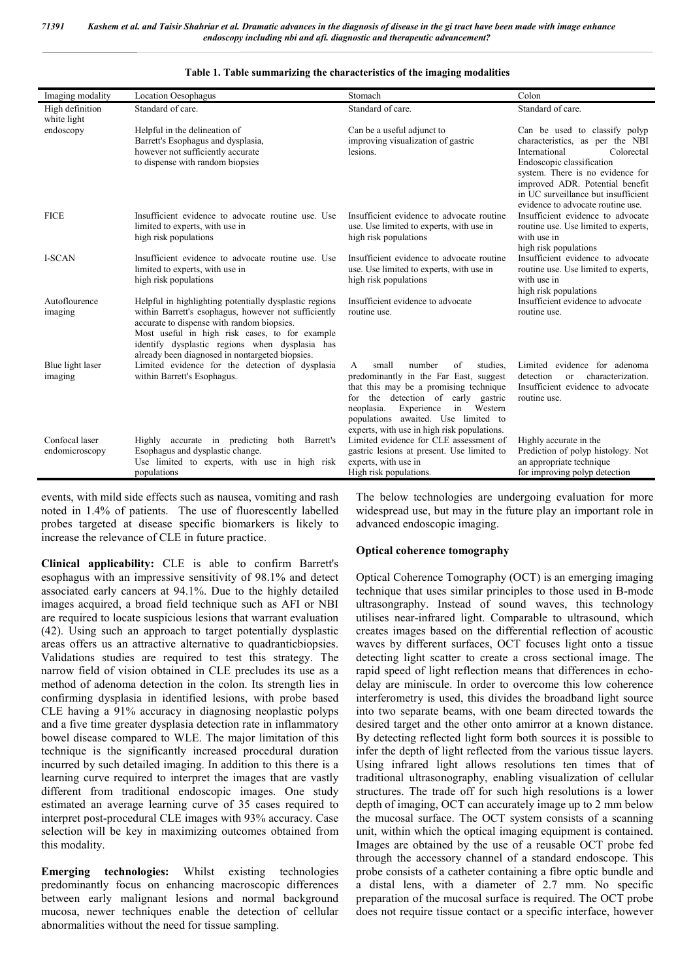| Imaging modality                 | <b>Location Oesophagus</b>                                                                                                                                                                                                                                                                                          | Stomach                                                                                                                                                                                                                                                                                                | Colon                                                                                                                                                                                                                                                                           |
|----------------------------------|---------------------------------------------------------------------------------------------------------------------------------------------------------------------------------------------------------------------------------------------------------------------------------------------------------------------|--------------------------------------------------------------------------------------------------------------------------------------------------------------------------------------------------------------------------------------------------------------------------------------------------------|---------------------------------------------------------------------------------------------------------------------------------------------------------------------------------------------------------------------------------------------------------------------------------|
| High definition<br>white light   | Standard of care.                                                                                                                                                                                                                                                                                                   | Standard of care.                                                                                                                                                                                                                                                                                      | Standard of care.                                                                                                                                                                                                                                                               |
| endoscopy                        | Helpful in the delineation of<br>Barrett's Esophagus and dysplasia,<br>however not sufficiently accurate<br>to dispense with random biopsies                                                                                                                                                                        | Can be a useful adjunct to<br>improving visualization of gastric<br>lesions.                                                                                                                                                                                                                           | Can be used to classify polyp<br>characteristics, as per the NBI<br>International<br>Colorectal<br>Endoscopic classification<br>system. There is no evidence for<br>improved ADR. Potential benefit<br>in UC surveillance but insufficient<br>evidence to advocate routine use. |
| <b>FICE</b>                      | Insufficient evidence to advocate routine use. Use<br>limited to experts, with use in<br>high risk populations                                                                                                                                                                                                      | Insufficient evidence to advocate routine<br>use. Use limited to experts, with use in<br>high risk populations                                                                                                                                                                                         | Insufficient evidence to advocate<br>routine use. Use limited to experts,<br>with use in<br>high risk populations                                                                                                                                                               |
| I-SCAN                           | Insufficient evidence to advocate routine use. Use<br>limited to experts, with use in<br>high risk populations                                                                                                                                                                                                      | Insufficient evidence to advocate routine<br>use. Use limited to experts, with use in<br>high risk populations                                                                                                                                                                                         | Insufficient evidence to advocate<br>routine use. Use limited to experts.<br>with use in<br>high risk populations                                                                                                                                                               |
| Autoflourence<br>imaging         | Helpful in highlighting potentially dysplastic regions<br>within Barrett's esophagus, however not sufficiently<br>accurate to dispense with random biopsies.<br>Most useful in high risk cases, to for example<br>identify dysplastic regions when dysplasia has<br>already been diagnosed in nontargeted biopsies. | Insufficient evidence to advocate<br>routine use.                                                                                                                                                                                                                                                      | Insufficient evidence to advocate<br>routine use.                                                                                                                                                                                                                               |
| Blue light laser<br>imaging      | Limited evidence for the detection of dysplasia<br>within Barrett's Esophagus.                                                                                                                                                                                                                                      | small<br>number<br>of<br>studies.<br>A<br>predominantly in the Far East, suggest<br>that this may be a promising technique<br>the detection of early gastric<br>for<br>Western<br>neoplasia.<br>Experience<br>in<br>populations awaited. Use limited to<br>experts, with use in high risk populations. | Limited evidence for adenoma<br>characterization.<br>detection<br>$\alpha$<br>Insufficient evidence to advocate<br>routine use.                                                                                                                                                 |
| Confocal laser<br>endomicroscopy | accurate in predicting<br>both Barrett's<br>Highly<br>Esophagus and dysplastic change.<br>Use limited to experts, with use in high risk<br>populations                                                                                                                                                              | Limited evidence for CLE assessment of<br>gastric lesions at present. Use limited to<br>experts, with use in<br>High risk populations.                                                                                                                                                                 | Highly accurate in the<br>Prediction of polyp histology. Not<br>an appropriate technique<br>for improving polyp detection                                                                                                                                                       |

# **Table 1. Table summarizing the characteristics of the imaging modalities**

events, with mild side effects such as nausea, vomiting and rash noted in 1.4% of patients. The use of fluorescently labelled probes targeted at disease specific biomarkers is likely to increase the relevance of CLE in future practice.

**Clinical applicability:** CLE is able to confirm Barrett's esophagus with an impressive sensitivity of 98.1% and detect associated early cancers at 94.1%. Due to the highly detailed images acquired, a broad field technique such as AFI or NBI are required to locate suspicious lesions that warrant evaluation (42). Using such an approach to target potentially dysplastic areas offers us an attractive alternative to quadranticbiopsies. Validations studies are required to test this strategy. The narrow field of vision obtained in CLE precludes its use as a method of adenoma detection in the colon. Its strength lies in confirming dysplasia in identified lesions, with probe based CLE having a 91% accuracy in diagnosing neoplastic polyps and a five time greater dysplasia detection rate in inflammatory bowel disease compared to WLE. The major limitation of this technique is the significantly increased procedural duration incurred by such detailed imaging. In addition to this there is a learning curve required to interpret the images that are vastly different from traditional endoscopic images. One study estimated an average learning curve of 35 cases required to interpret post-procedural CLE images with 93% accuracy. Case selection will be key in maximizing outcomes obtained from this modality.

**Emerging technologies:** Whilst existing technologies predominantly focus on enhancing macroscopic differences between early malignant lesions and normal background mucosa, newer techniques enable the detection of cellular abnormalities without the need for tissue sampling.

The below technologies are undergoing evaluation for more widespread use, but may in the future play an important role in advanced endoscopic imaging.

# **Optical coherence tomography**

Optical Coherence Tomography (OCT) is an emerging imaging technique that uses similar principles to those used in B-mode ultrasongraphy. Instead of sound waves, this technology utilises near-infrared light. Comparable to ultrasound, which creates images based on the differential reflection of acoustic waves by different surfaces, OCT focuses light onto a tissue detecting light scatter to create a cross sectional image. The rapid speed of light reflection means that differences in echodelay are miniscule. In order to overcome this low coherence interferometry is used, this divides the broadband light source into two separate beams, with one beam directed towards the desired target and the other onto amirror at a known distance. By detecting reflected light form both sources it is possible to infer the depth of light reflected from the various tissue layers. Using infrared light allows resolutions ten times that of traditional ultrasonography, enabling visualization of cellular structures. The trade off for such high resolutions is a lower depth of imaging, OCT can accurately image up to 2 mm below the mucosal surface. The OCT system consists of a scanning unit, within which the optical imaging equipment is contained. Images are obtained by the use of a reusable OCT probe fed through the accessory channel of a standard endoscope. This probe consists of a catheter containing a fibre optic bundle and a distal lens, with a diameter of 2.7 mm. No specific preparation of the mucosal surface is required. The OCT probe does not require tissue contact or a specific interface, however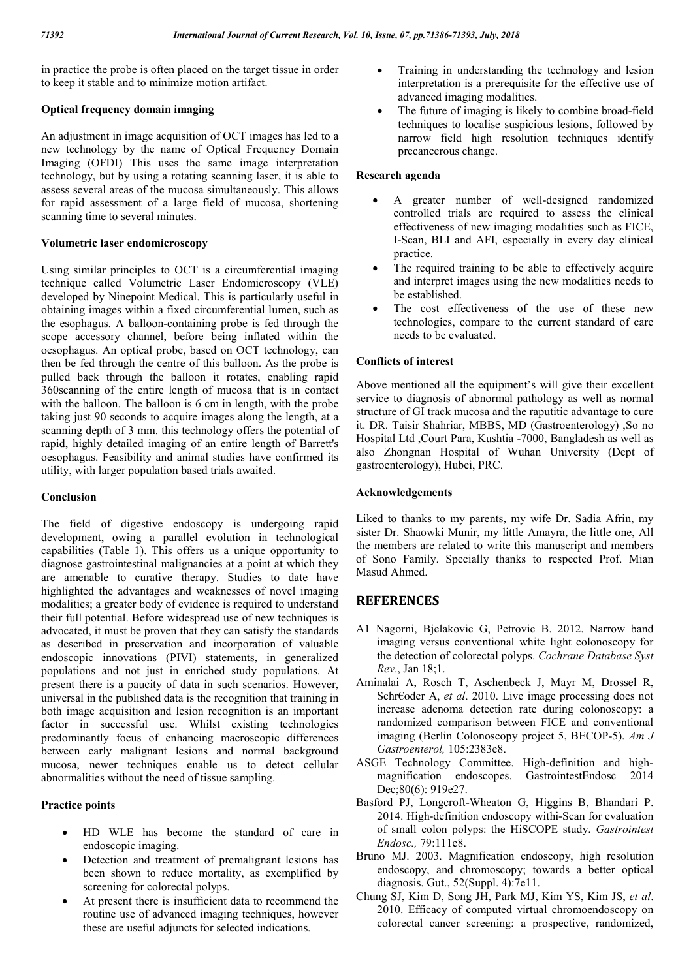in practice the probe is often placed on the target tissue in order to keep it stable and to minimize motion artifact.

# **Optical frequency domain imaging**

An adjustment in image acquisition of OCT images has led to a new technology by the name of Optical Frequency Domain Imaging (OFDI) This uses the same image interpretation technology, but by using a rotating scanning laser, it is able to assess several areas of the mucosa simultaneously. This allows for rapid assessment of a large field of mucosa, shortening scanning time to several minutes.

# **Volumetric laser endomicroscopy**

Using similar principles to OCT is a circumferential imaging technique called Volumetric Laser Endomicroscopy (VLE) developed by Ninepoint Medical. This is particularly useful in obtaining images within a fixed circumferential lumen, such as the esophagus. A balloon-containing probe is fed through the scope accessory channel, before being inflated within the oesophagus. An optical probe, based on OCT technology, can then be fed through the centre of this balloon. As the probe is pulled back through the balloon it rotates, enabling rapid 360scanning of the entire length of mucosa that is in contact with the balloon. The balloon is 6 cm in length, with the probe taking just 90 seconds to acquire images along the length, at a scanning depth of 3 mm. this technology offers the potential of rapid, highly detailed imaging of an entire length of Barrett's oesophagus. Feasibility and animal studies have confirmed its utility, with larger population based trials awaited.

# **Conclusion**

The field of digestive endoscopy is undergoing rapid development, owing a parallel evolution in technological capabilities (Table 1). This offers us a unique opportunity to diagnose gastrointestinal malignancies at a point at which they are amenable to curative therapy. Studies to date have highlighted the advantages and weaknesses of novel imaging modalities; a greater body of evidence is required to understand their full potential. Before widespread use of new techniques is advocated, it must be proven that they can satisfy the standards as described in preservation and incorporation of valuable endoscopic innovations (PIVI) statements, in generalized populations and not just in enriched study populations. At present there is a paucity of data in such scenarios. However, universal in the published data is the recognition that training in both image acquisition and lesion recognition is an important factor in successful use. Whilst existing technologies predominantly focus of enhancing macroscopic differences between early malignant lesions and normal background mucosa, newer techniques enable us to detect cellular abnormalities without the need of tissue sampling.

# **Practice points**

- HD WLE has become the standard of care in endoscopic imaging.
- Detection and treatment of premalignant lesions has been shown to reduce mortality, as exemplified by screening for colorectal polyps.
- At present there is insufficient data to recommend the routine use of advanced imaging techniques, however these are useful adjuncts for selected indications.
- Training in understanding the technology and lesion interpretation is a prerequisite for the effective use of advanced imaging modalities.
- The future of imaging is likely to combine broad-field techniques to localise suspicious lesions, followed by narrow field high resolution techniques identify precancerous change.

# **Research agenda**

- A greater number of well-designed randomized controlled trials are required to assess the clinical effectiveness of new imaging modalities such as FICE, I-Scan, BLI and AFI, especially in every day clinical practice.
- The required training to be able to effectively acquire and interpret images using the new modalities needs to be established.
- The cost effectiveness of the use of these new technologies, compare to the current standard of care needs to be evaluated.

# **Conflicts of interest**

Above mentioned all the equipment's will give their excellent service to diagnosis of abnormal pathology as well as normal structure of GI track mucosa and the raputitic advantage to cure it. DR. Taisir Shahriar, MBBS, MD (Gastroenterology) ,So no Hospital Ltd ,Court Para, Kushtia -7000, Bangladesh as well as also Zhongnan Hospital of Wuhan University (Dept of gastroenterology), Hubei, PRC.

# **Acknowledgements**

Liked to thanks to my parents, my wife Dr. Sadia Afrin, my sister Dr. Shaowki Munir, my little Amayra, the little one, All the members are related to write this manuscript and members of Sono Family. Specially thanks to respected Prof. Mian Masud Ahmed.

# **REFERENCES**

- A1 Nagorni, Bjelakovic G, Petrovic B. 2012. Narrow band imaging versus conventional white light colonoscopy for the detection of colorectal polyps. *Cochrane Database Syst Rev*., Jan 18;1.
- Aminalai A, Rosch T, Aschenbeck J, Mayr M, Drossel R, Schr€oder A, *et al*. 2010. Live image processing does not increase adenoma detection rate during colonoscopy: a randomized comparison between FICE and conventional imaging (Berlin Colonoscopy project 5, BECOP-5). *Am J Gastroenterol,* 105:2383e8.
- ASGE Technology Committee. High-definition and highmagnification endoscopes. GastrointestEndosc 2014 Dec;80(6): 919e27.
- Basford PJ, Longcroft-Wheaton G, Higgins B, Bhandari P. 2014. High-definition endoscopy withi-Scan for evaluation of small colon polyps: the HiSCOPE study. *Gastrointest Endosc.,* 79:111e8.
- Bruno MJ. 2003. Magnification endoscopy, high resolution endoscopy, and chromoscopy; towards a better optical diagnosis. Gut., 52(Suppl. 4):7e11.
- Chung SJ, Kim D, Song JH, Park MJ, Kim YS, Kim JS, *et al*. 2010. Efficacy of computed virtual chromoendoscopy on colorectal cancer screening: a prospective, randomized,